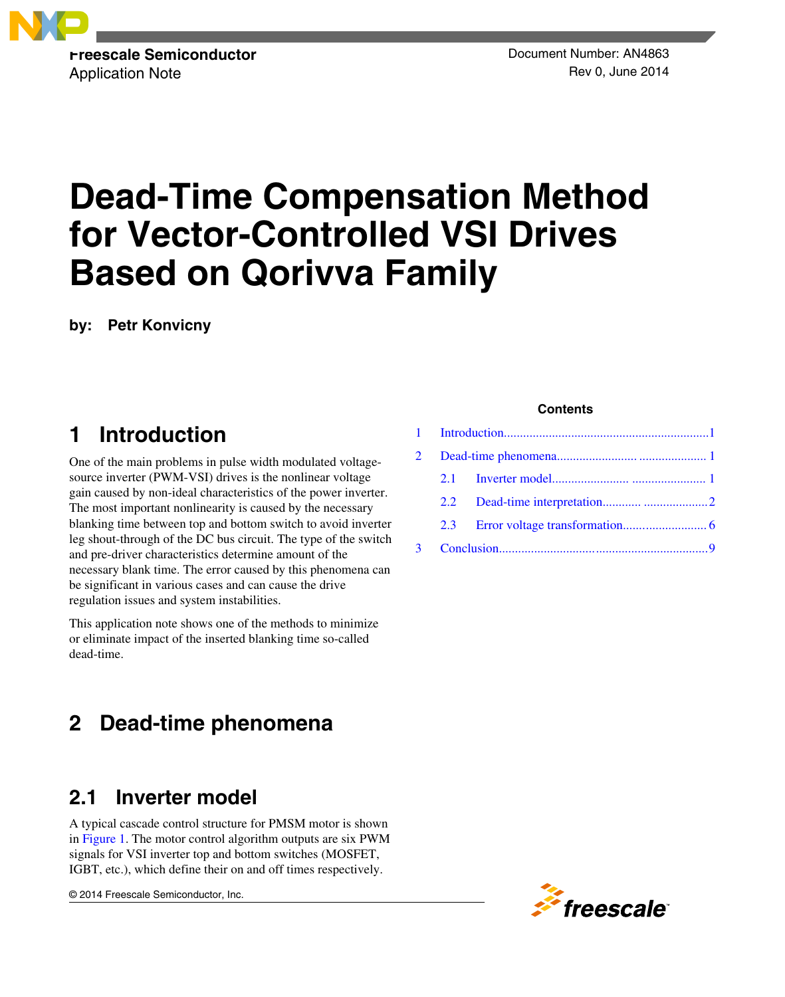

Application Note **Application** Note **Rev 0**, June 2014

# **Dead-Time Compensation Method for Vector-Controlled VSI Drives Based on Qorivva Family**

**by: Petr Konvicny**

# **1 Introduction**

One of the main problems in pulse width modulated voltagesource inverter (PWM-VSI) drives is the nonlinear voltage gain caused by non-ideal characteristics of the power inverter. The most important nonlinearity is caused by the necessary blanking time between top and bottom switch to avoid inverter leg shout-through of the DC bus circuit. The type of the switch and pre-driver characteristics determine amount of the necessary blank time. The error caused by this phenomena can be significant in various cases and can cause the drive regulation issues and system instabilities.

This application note shows one of the methods to minimize or eliminate impact of the inserted blanking time so-called dead-time.

# **2 Dead-time phenomena**

# **2.1 Inverter model**

A typical cascade control structure for PMSM motor is shown in [Figure 1.](#page-1-0) The motor control algorithm outputs are six PWM signals for VSI inverter top and bottom switches (MOSFET, IGBT, etc.), which define their on and off times respectively.

© 2014 Freescale Semiconductor, Inc.

### **Contents**

|  | $2.2 -$ |  |  |
|--|---------|--|--|
|  | 2.3     |  |  |
|  |         |  |  |

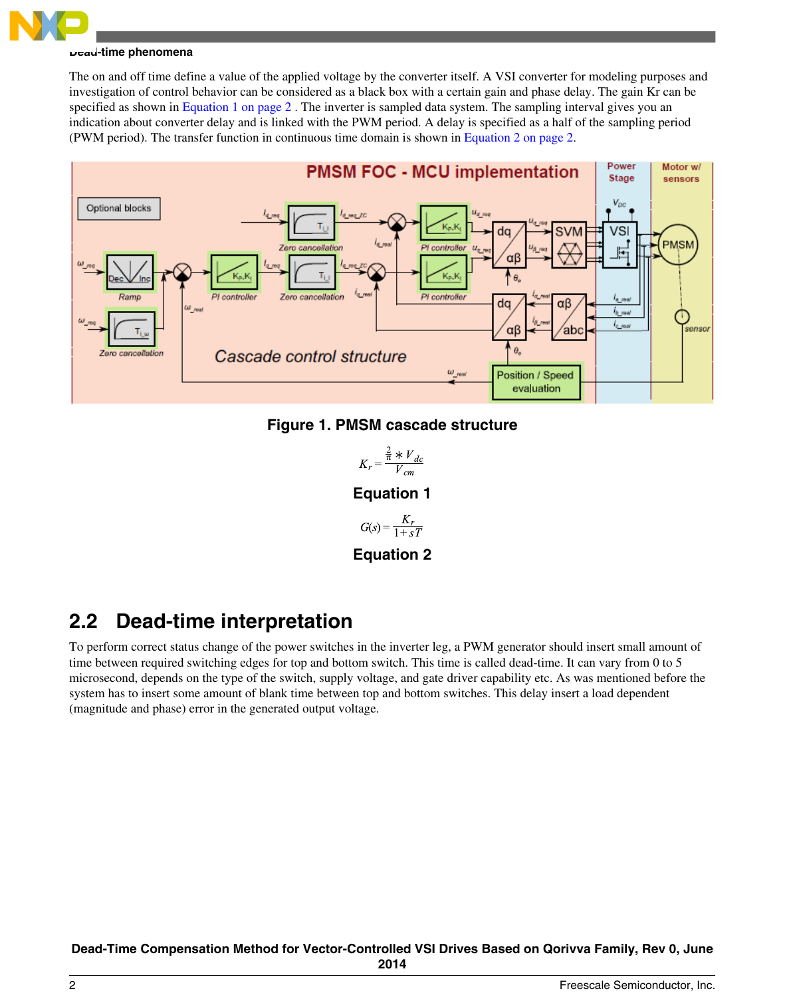<span id="page-1-0"></span>

The on and off time define a value of the applied voltage by the converter itself. A VSI converter for modeling purposes and investigation of control behavior can be considered as a black box with a certain gain and phase delay. The gain Kr can be specified as shown in Equation 1 on page 2. The inverter is sampled data system. The sampling interval gives you an indication about converter delay and is linked with the PWM period. A delay is specified as a half of the sampling period (PWM period). The transfer function in continuous time domain is shown in Equation 2 on page 2.



### **Figure 1. PMSM cascade structure**

$$
K_r = \frac{\frac{2}{\pi} * V_{dc}}{V_{cm}}
$$

### **Equation 1**

$$
G(s) = \frac{K_r}{1 + sT}
$$

**Equation 2**

# **2.2 Dead-time interpretation**

To perform correct status change of the power switches in the inverter leg, a PWM generator should insert small amount of time between required switching edges for top and bottom switch. This time is called dead-time. It can vary from 0 to 5 microsecond, depends on the type of the switch, supply voltage, and gate driver capability etc. As was mentioned before the system has to insert some amount of blank time between top and bottom switches. This delay insert a load dependent (magnitude and phase) error in the generated output voltage.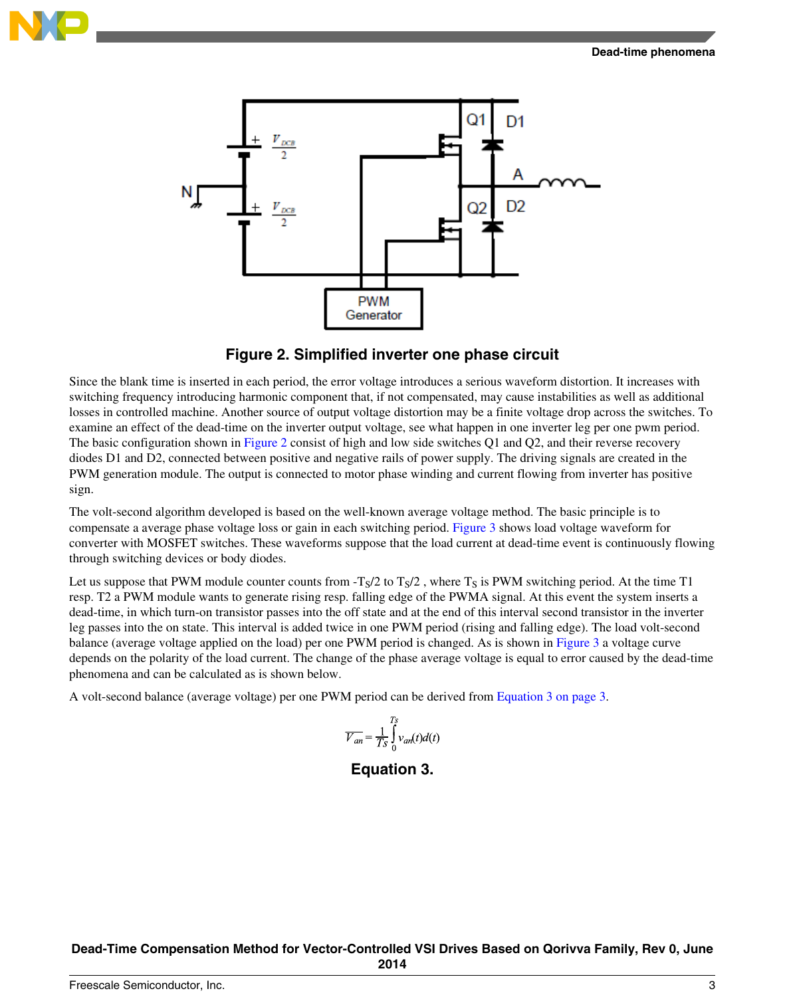



### **Figure 2. Simplified inverter one phase circuit**

Since the blank time is inserted in each period, the error voltage introduces a serious waveform distortion. It increases with switching frequency introducing harmonic component that, if not compensated, may cause instabilities as well as additional losses in controlled machine. Another source of output voltage distortion may be a finite voltage drop across the switches. To examine an effect of the dead-time on the inverter output voltage, see what happen in one inverter leg per one pwm period. The basic configuration shown in Figure 2 consist of high and low side switches Q1 and Q2, and their reverse recovery diodes D1 and D2, connected between positive and negative rails of power supply. The driving signals are created in the PWM generation module. The output is connected to motor phase winding and current flowing from inverter has positive sign.

The volt-second algorithm developed is based on the well-known average voltage method. The basic principle is to compensate a average phase voltage loss or gain in each switching period. [Figure 3](#page-3-0) shows load voltage waveform for converter with MOSFET switches. These waveforms suppose that the load current at dead-time event is continuously flowing through switching devices or body diodes.

Let us suppose that PWM module counter counts from  $-T<sub>S</sub>/2$  to  $T<sub>S</sub>/2$ , where  $T<sub>S</sub>$  is PWM switching period. At the time T1 resp. T2 a PWM module wants to generate rising resp. falling edge of the PWMA signal. At this event the system inserts a dead-time, in which turn-on transistor passes into the off state and at the end of this interval second transistor in the inverter leg passes into the on state. This interval is added twice in one PWM period (rising and falling edge). The load volt-second balance (average voltage applied on the load) per one PWM period is changed. As is shown in [Figure 3](#page-3-0) a voltage curve depends on the polarity of the load current. The change of the phase average voltage is equal to error caused by the dead-time phenomena and can be calculated as is shown below.

A volt-second balance (average voltage) per one PWM period can be derived from Equation 3 on page 3.

$$
\overline{V_{an}} = \frac{1}{Ts} \int_0^{Ts} v_{an}(t) d(t)
$$

### **Equation 3.**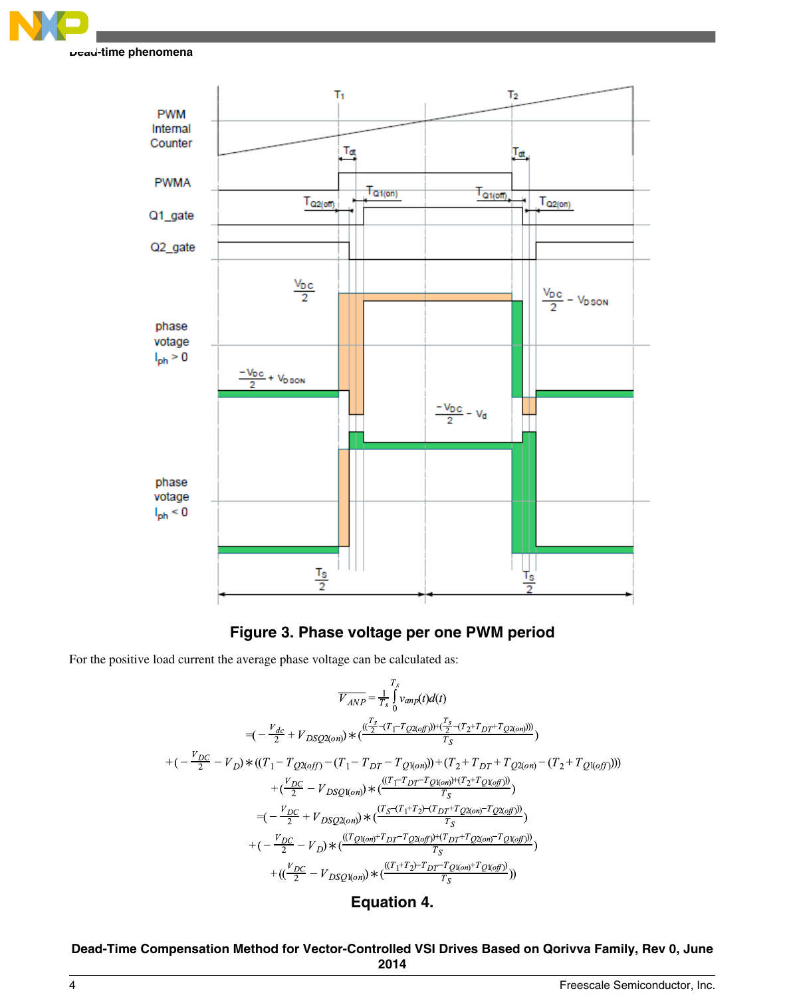<span id="page-3-0"></span>



# **Figure 3. Phase voltage per one PWM period**

For the positive load current the average phase voltage can be calculated as:

$$
\overline{V_{AND}} = \frac{T_s}{T_s} \int_{Vanp}(t) d(t)
$$
\n
$$
= \left( -\frac{V_{dc}}{2} + V_{DSQ2(on)} \right) \times \left( \frac{\frac{T_s}{2} - (T_1 - T_{Q2(off)}) + (\frac{T_s}{2} - (T_2 + T_{DT} + T_{Q2(on)}))}{T_S} \right)
$$
\n
$$
+ \left( -\frac{V_{DC}}{2} - V_D \right) \times \left( (T_1 - T_{Q2(off)} - (T_1 - T_{DT} - T_{Q1(on)})) + (T_2 + T_{DT} + T_{Q2(on)} - (T_2 + T_{Q1(off)})) \right)
$$
\n
$$
+ \left( \frac{V_{DC}}{2} - V_{DSQ1(on)} \right) \times \left( \frac{\left( (T_1 - T_{DT} - T_{Q1(on)}) + (T_2 + T_{Q1(off)}) \right)}{T_S} \right)
$$
\n
$$
= \left( -\frac{V_{DC}}{2} + V_{DSQ2(on)} \right) \times \left( \frac{\left( T_s - (T_1 + T_2) - (T_{DT} + T_{Q2(on)} - T_{Q2(off)}) \right)}{T_S} \right)
$$
\n
$$
+ \left( -\frac{V_{DC}}{2} - V_D \right) \times \left( \frac{\left( (T_{Q1(on)} + T_{DT} - T_{Q2(off)}) + (T_{DT} + T_{Q2(on)} - T_{Q1(off)}) \right)}{T_S} \right)
$$
\n
$$
+ \left( \left( \frac{V_{DC}}{2} - V_{DSQ1(on)} \right) \times \left( \frac{\left( (T_1 + T_2) - T_{DT} - T_{Q1(on)} + T_{Q1(off)} \right)}{T_S} \right) \right)
$$

# **Equation 4.**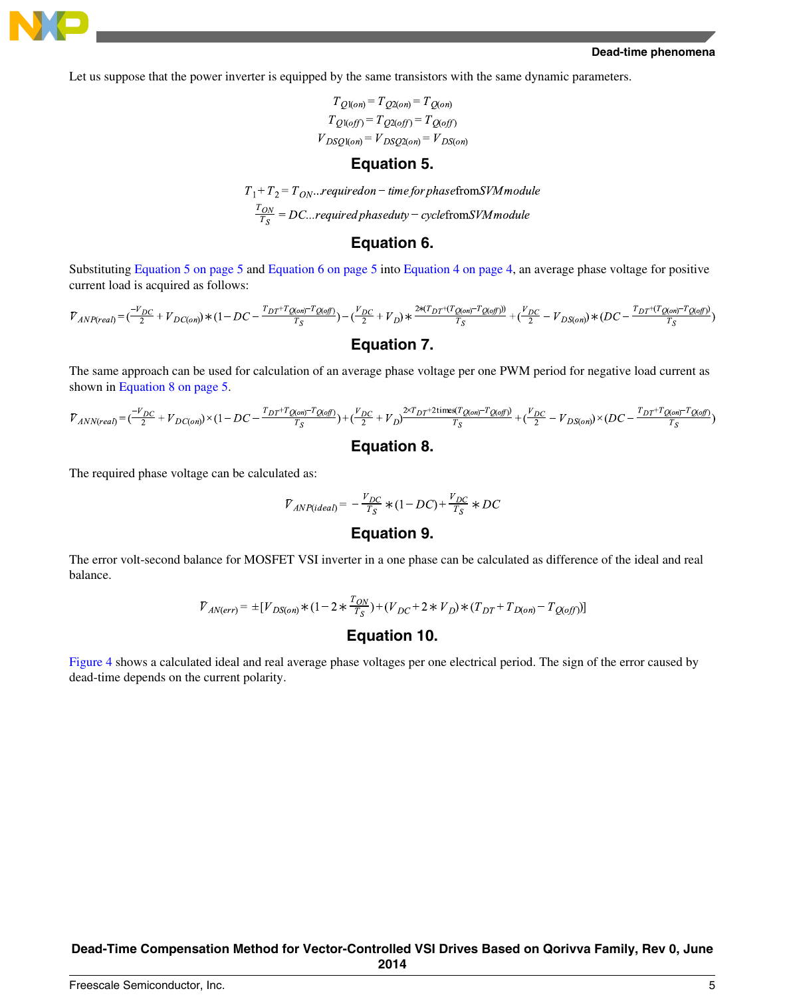

Let us suppose that the power inverter is equipped by the same transistors with the same dynamic parameters.

 $T_{Q1(on)} = T_{Q2(on)} = T_{Q(on)}$  $T_{Q1(off)} = T_{Q2(off)} = T_{Q(off)}$  $V_{DSQ1(on)} = V_{DSQ2(on)} = V_{DS(on)}$ 

#### **Equation 5.**

 $T_1 + T_2 = T_{ON}...$ required on – time for phase from SVM module  $\frac{T_{ON}}{T_S}$  = DC...required phaseduty – cyclefromSVM module

#### **Equation 6.**

Substituting Equation 5 on page 5 and Equation 6 on page 5 into [Equation 4 on page 4,](#page-3-0) an average phase voltage for positive current load is acquired as follows:

$$
\overline{V}_{ANP (real)} = (\frac{-V_{DC}}{2} + V_{DC (on)}) * (1 - DC - \frac{T_{DT} + T_{Q (on)} - T_{Q (off)})}{T_S} - (\frac{V_{DC}}{2} + V_D) * \frac{2 * (T_{DT} + (T_{Q (on)} - T_{Q (off)}))}{T_S} + (\frac{V_{DC}}{2} - V_{DS (on)}) * (DC - \frac{T_{DT} + (T_{Q (on)} - T_{Q (off)})}{T_S})
$$
\n
$$
\textbf{Equation 7.}
$$

The same approach can be used for calculation of an average phase voltage per one PWM period for negative load current as shown in Equation 8 on page 5.

$$
\label{eq:2} \mathcal{V}_{ANN (real)} = (\frac{-\mathcal{V}_{DC}}{2} + \mathcal{V}_{DC (on)}) \times (1 - DC - \frac{T_{DT} + T_{Q (on)} - T_{Q (off)}}{T_S}) + (\frac{\mathcal{V}_{DC}}{2} + \mathcal{V}_{D}) \frac{2 \times T_{DT} + 2 \text{times} (T_{Q (on)} - T_{Q (off)})}{T_S} + (\frac{\mathcal{V}_{DC}}{2} - \mathcal{V}_{DS (on)}) \times (DC - \frac{T_{DT} + T_{Q (on)} - T_{Q (off)}}{T_S})
$$

#### **Equation 8.**

The required phase voltage can be calculated as:

$$
\overline{V}_{ANP(ideal)} = -\frac{V_{DC}}{T_S} * (1 - DC) + \frac{V_{DC}}{T_S} * DC
$$

### **Equation 9.**

The error volt-second balance for MOSFET VSI inverter in a one phase can be calculated as difference of the ideal and real balance.

$$
\overline{V}_{\text{AN}(\text{err})} = \pm [V_{DS(\text{on})} * (1 - 2 * \frac{T_{\text{ON}}}{T_S}) + (V_{\text{DC}} + 2 * V_{\text{D}}) * (T_{\text{DT}} + T_{\text{D}(\text{on})} - T_{\text{Q}(\text{off})}]
$$

#### **Equation 10.**

[Figure 4](#page-5-0) shows a calculated ideal and real average phase voltages per one electrical period. The sign of the error caused by dead-time depends on the current polarity.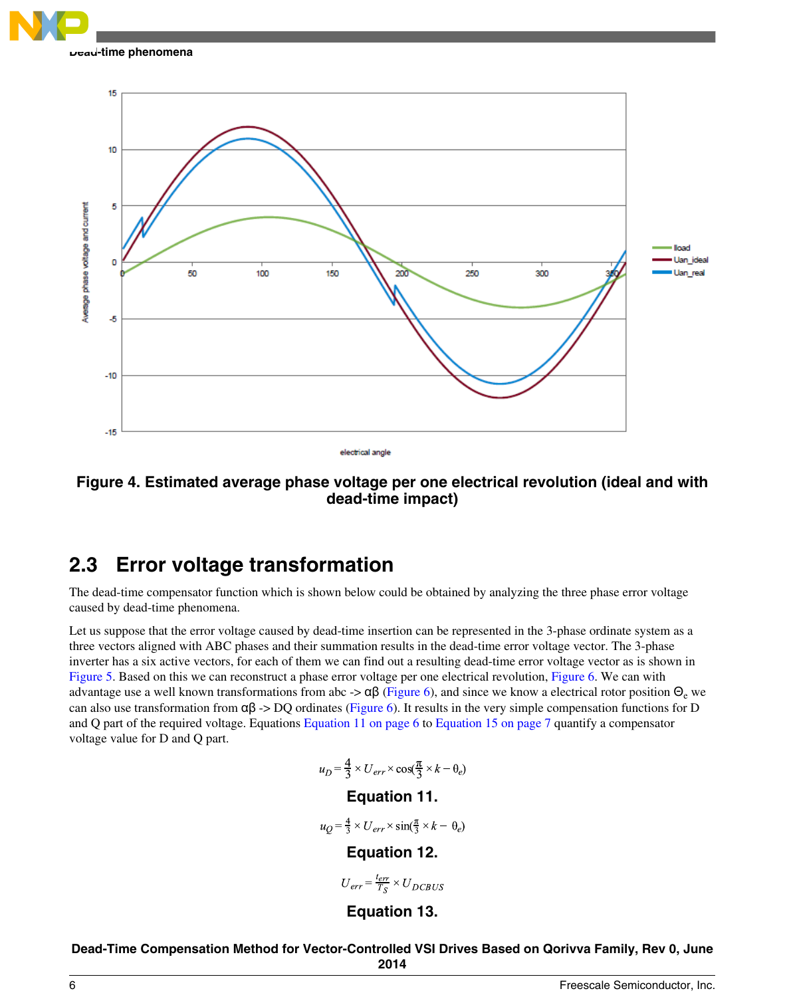<span id="page-5-0"></span>

15 10 5 Average phase voltage and current lload Uan idea O 50 100 150 200 250 300 Uan rea -5  $-10$  $-15$ electrical angle

**Figure 4. Estimated average phase voltage per one electrical revolution (ideal and with dead-time impact)**

# **2.3 Error voltage transformation**

The dead-time compensator function which is shown below could be obtained by analyzing the three phase error voltage caused by dead-time phenomena.

Let us suppose that the error voltage caused by dead-time insertion can be represented in the 3-phase ordinate system as a three vectors aligned with ABC phases and their summation results in the dead-time error voltage vector. The 3-phase inverter has a six active vectors, for each of them we can find out a resulting dead-time error voltage vector as is shown in [Figure 5.](#page-6-0) Based on this we can reconstruct a phase error voltage per one electrical revolution, [Figure 6.](#page-7-0) We can with advantage use a well known transformations from abc ->  $\alpha\beta$  ([Figure 6](#page-7-0)), and since we know a electrical rotor position  $\Theta_{\rm e}$  we can also use transformation from  $\alpha\beta \rightarrow DQ$  ordinates ([Figure 6\)](#page-7-0). It results in the very simple compensation functions for D and Q part of the required voltage. Equations Equation 11 on page 6 to [Equation 15 on page 7](#page-6-0) quantify a compensator voltage value for D and Q part.

$$
u_D = \frac{4}{3} \times U_{err} \times \cos(\frac{\pi}{3} \times k - \theta_e)
$$

# **Equation 11.**

 $u_O = \frac{4}{3} \times U_{err} \times \sin(\frac{\pi}{3} \times k - \theta_e)$ 

# **Equation 12.**

$$
U_{err} = \frac{t_{err}}{T_S} \times U_{DCBUS}
$$

# **Equation 13.**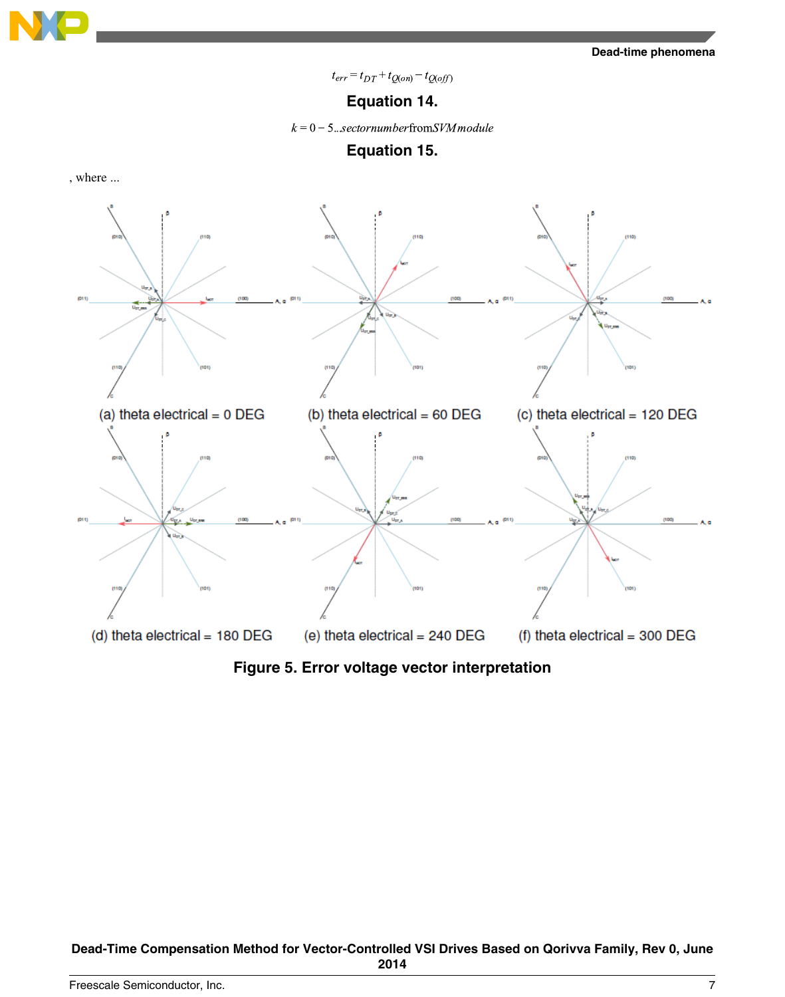<span id="page-6-0"></span>

 $t_{err} = t_{DT} + t_{Q(on)} - t_{Q(off)}$ 

## **Equation 14.**

 $k = 0 - 5$ ...sectornumberfromSVM module



, where ...



**Figure 5. Error voltage vector interpretation**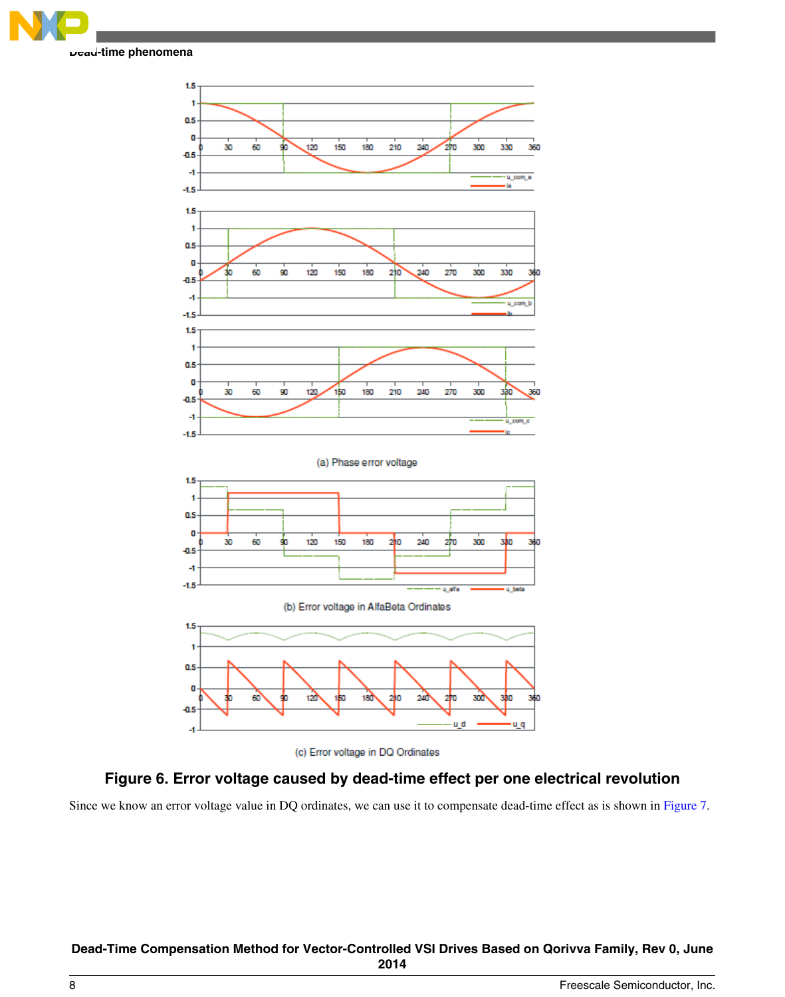<span id="page-7-0"></span>





# **Figure 6. Error voltage caused by dead-time effect per one electrical revolution**

Since we know an error voltage value in DQ ordinates, we can use it to compensate dead-time effect as is shown in [Figure 7](#page-8-0).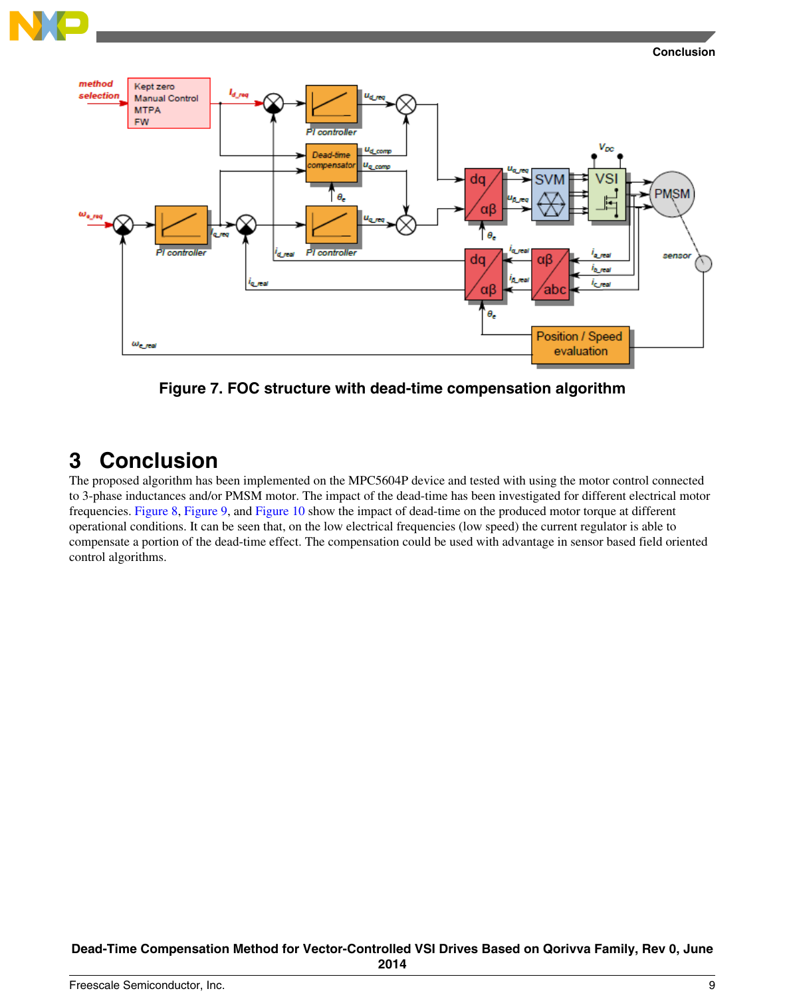

<span id="page-8-0"></span>



**Figure 7. FOC structure with dead-time compensation algorithm**

# **3 Conclusion**

The proposed algorithm has been implemented on the MPC5604P device and tested with using the motor control connected to 3-phase inductances and/or PMSM motor. The impact of the dead-time has been investigated for different electrical motor frequencies. [Figure 8,](#page-9-0) [Figure 9](#page-10-0), and [Figure 10](#page-11-0) show the impact of dead-time on the produced motor torque at different operational conditions. It can be seen that, on the low electrical frequencies (low speed) the current regulator is able to compensate a portion of the dead-time effect. The compensation could be used with advantage in sensor based field oriented control algorithms.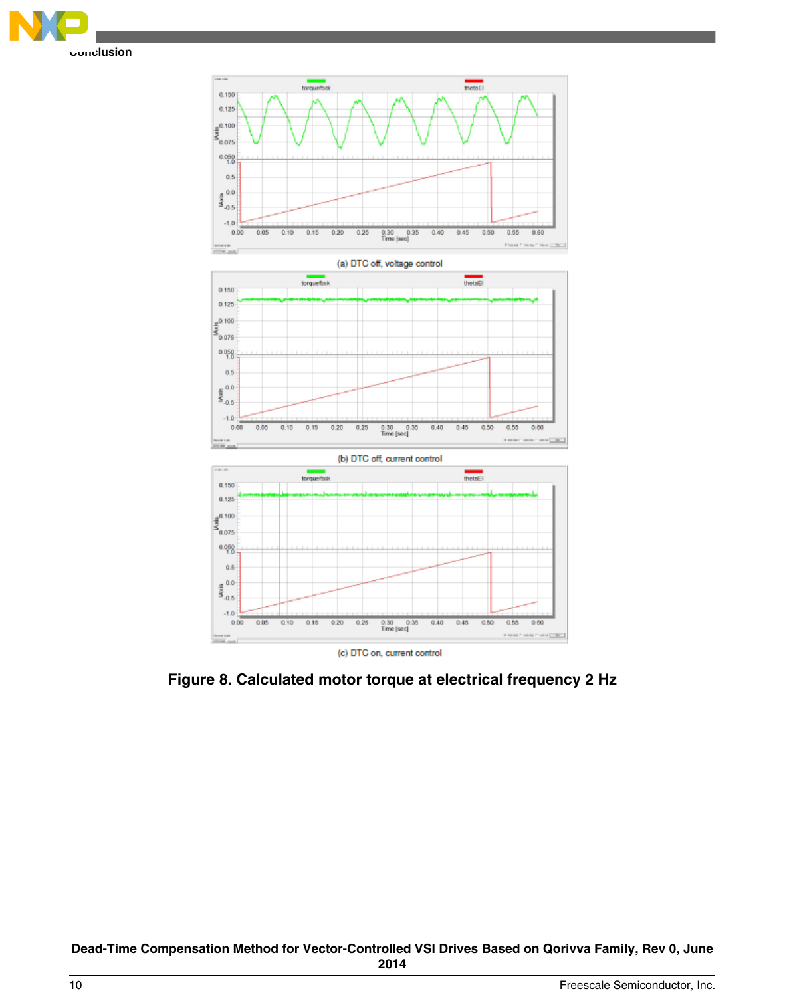<span id="page-9-0"></span>



**Figure 8. Calculated motor torque at electrical frequency 2 Hz**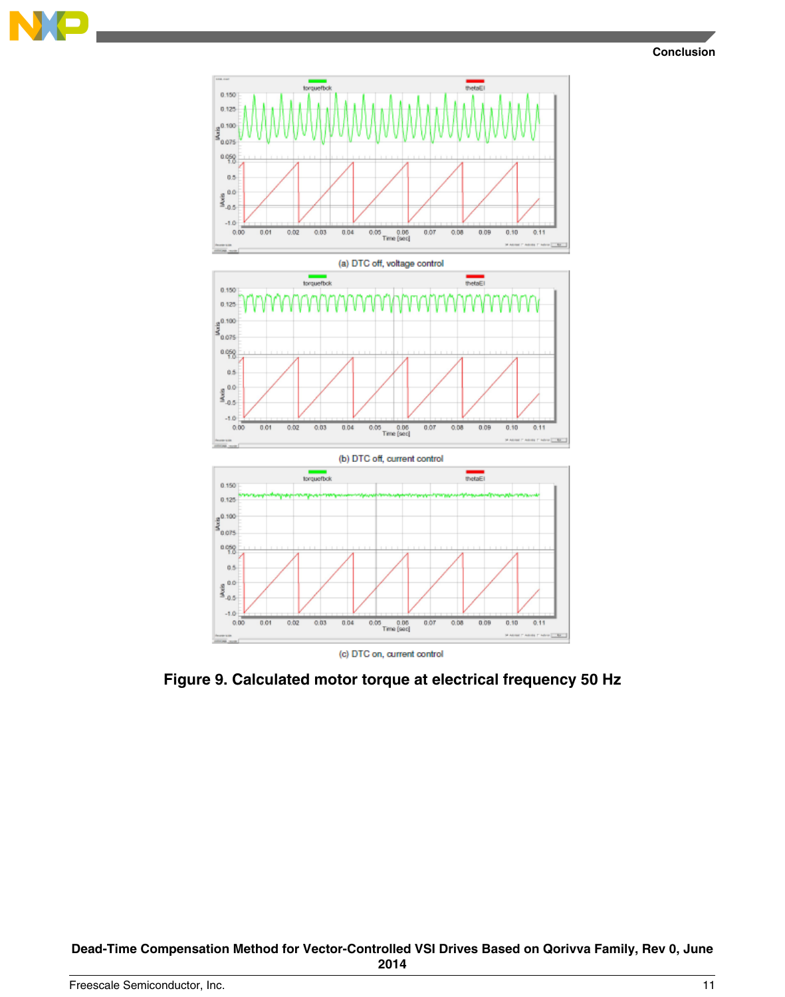<span id="page-10-0"></span>



**Figure 9. Calculated motor torque at electrical frequency 50 Hz**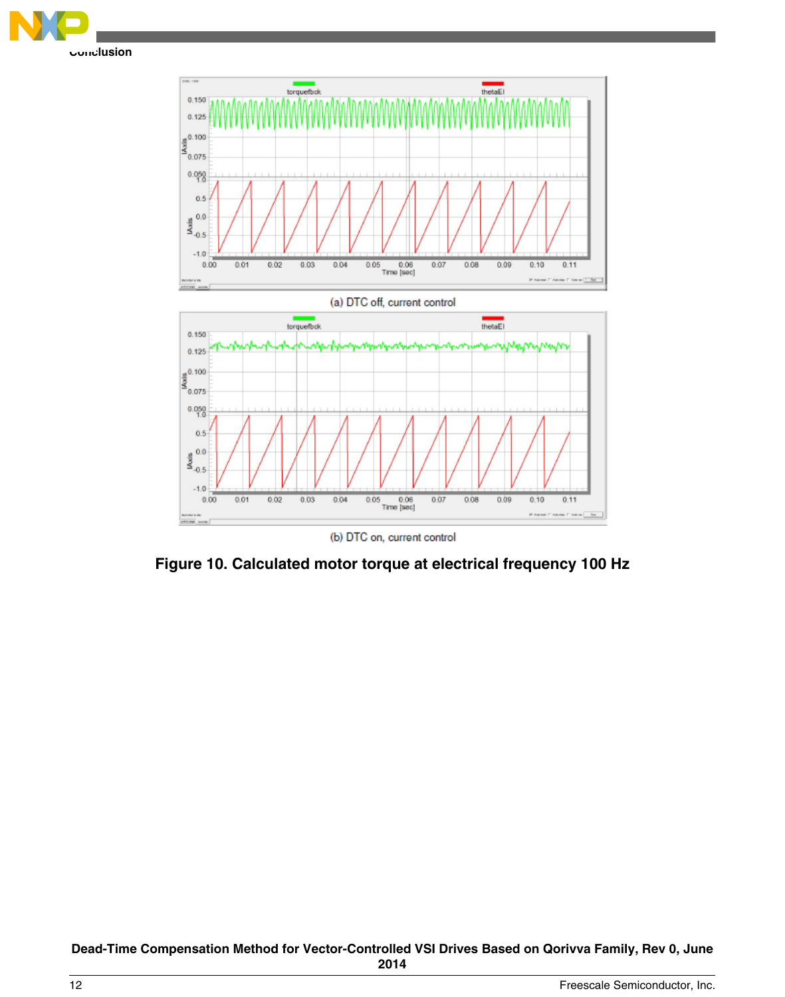

(b) DTC on, current control

**Figure 10. Calculated motor torque at electrical frequency 100 Hz**

**Dead-Time Compensation Method for Vector-Controlled VSI Drives Based on Qorivva Family, Rev 0, June 2014**

<span id="page-11-0"></span>**Conclusion**